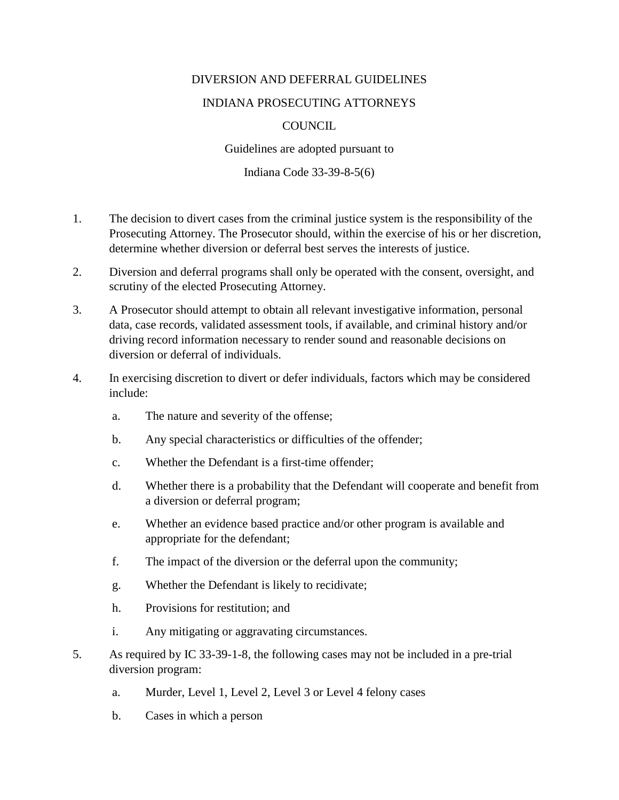## DIVERSION AND DEFERRAL GUIDELINES

## INDIANA PROSECUTING ATTORNEYS

## **COUNCIL**

Guidelines are adopted pursuant to

Indiana Code 33-39-8-5(6)

- 1. The decision to divert cases from the criminal justice system is the responsibility of the Prosecuting Attorney. The Prosecutor should, within the exercise of his or her discretion, determine whether diversion or deferral best serves the interests of justice.
- 2. Diversion and deferral programs shall only be operated with the consent, oversight, and scrutiny of the elected Prosecuting Attorney.
- 3. A Prosecutor should attempt to obtain all relevant investigative information, personal data, case records, validated assessment tools, if available, and criminal history and/or driving record information necessary to render sound and reasonable decisions on diversion or deferral of individuals.
- 4. In exercising discretion to divert or defer individuals, factors which may be considered include:
	- a. The nature and severity of the offense;
	- b. Any special characteristics or difficulties of the offender;
	- c. Whether the Defendant is a first-time offender;
	- d. Whether there is a probability that the Defendant will cooperate and benefit from a diversion or deferral program;
	- e. Whether an evidence based practice and/or other program is available and appropriate for the defendant;
	- f. The impact of the diversion or the deferral upon the community;
	- g. Whether the Defendant is likely to recidivate;
	- h. Provisions for restitution; and
	- i. Any mitigating or aggravating circumstances.
- 5. As required by IC 33-39-1-8, the following cases may not be included in a pre-trial diversion program:
	- a. Murder, Level 1, Level 2, Level 3 or Level 4 felony cases
	- b. Cases in which a person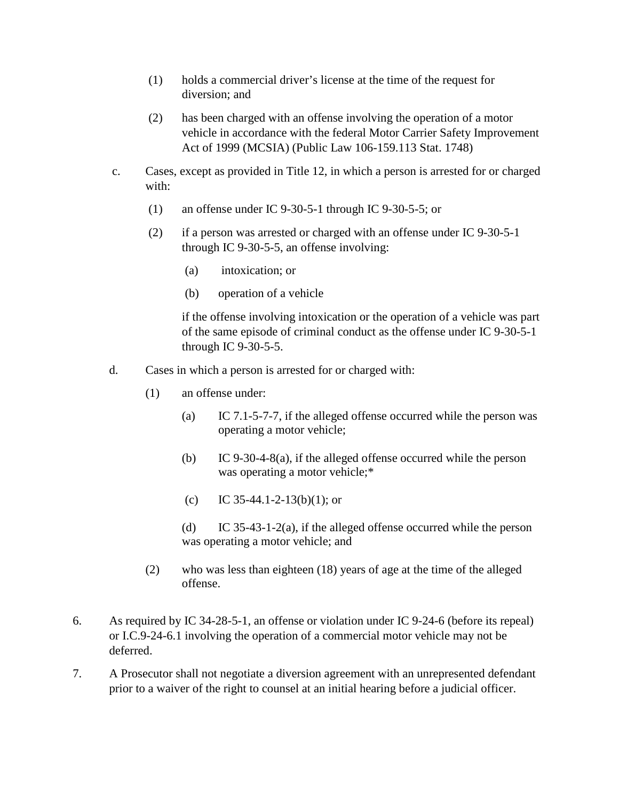- (1) holds a commercial driver's license at the time of the request for diversion; and
- (2) has been charged with an offense involving the operation of a motor vehicle in accordance with the federal Motor Carrier Safety Improvement Act of 1999 (MCSIA) (Public Law 106-159.113 Stat. 1748)
- c. Cases, except as provided in Title 12, in which a person is arrested for or charged with:
	- (1) an offense under IC 9-30-5-1 through IC 9-30-5-5; or
	- (2) if a person was arrested or charged with an offense under IC 9-30-5-1 through IC 9-30-5-5, an offense involving:
		- (a) intoxication; or
		- (b) operation of a vehicle

if the offense involving intoxication or the operation of a vehicle was part of the same episode of criminal conduct as the offense under IC 9-30-5-1 through IC 9-30-5-5.

- d. Cases in which a person is arrested for or charged with:
	- (1) an offense under:
		- (a) IC 7.1-5-7-7, if the alleged offense occurred while the person was operating a motor vehicle;
		- (b) IC 9-30-4-8(a), if the alleged offense occurred while the person was operating a motor vehicle;\*
		- (c) IC 35-44.1-2-13(b)(1); or
		- (d) IC 35-43-1-2(a), if the alleged offense occurred while the person was operating a motor vehicle; and
	- (2) who was less than eighteen (18) years of age at the time of the alleged offense.
- 6. As required by IC 34-28-5-1, an offense or violation under IC 9-24-6 (before its repeal) or I.C.9-24-6.1 involving the operation of a commercial motor vehicle may not be deferred.
- 7. A Prosecutor shall not negotiate a diversion agreement with an unrepresented defendant prior to a waiver of the right to counsel at an initial hearing before a judicial officer.